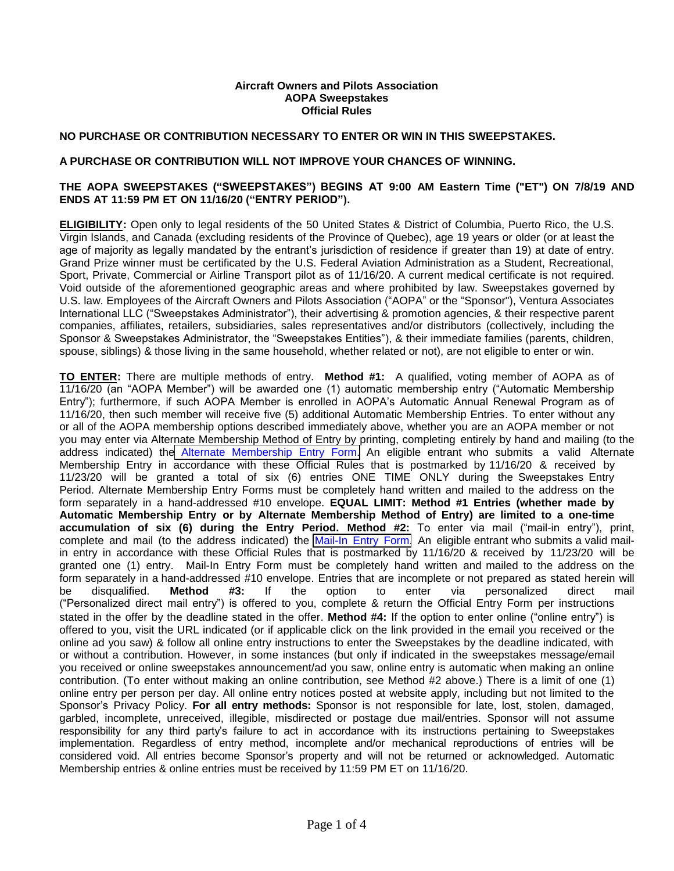### **Aircraft Owners and Pilots Association AOPA Sweepstakes Official Rules**

## **NO PURCHASE OR CONTRIBUTION NECESSARY TO ENTER OR WIN IN THIS SWEEPSTAKES.**

### **A PURCHASE OR CONTRIBUTION WILL NOT IMPROVE YOUR CHANCES OF WINNING.**

## **THE AOPA SWEEPSTAKES ("SWEEPSTAKES") BEGINS AT 9:00 AM Eastern Time ("ET") ON 7/8/19 AND ENDS AT 11:59 PM ET ON 11/16/20 ("ENTRY PERIOD").**

**ELIGIBILITY:** Open only to legal residents of the 50 United States & District of Columbia, Puerto Rico, the U.S. Virgin Islands, and Canada (excluding residents of the Province of Quebec), age 19 years or older (or at least the age of majority as legally mandated by the entrant's jurisdiction of residence if greater than 19) at date of entry. Grand Prize winner must be certificated by the U.S. Federal Aviation Administration as a Student, Recreational, Sport, Private, Commercial or Airline Transport pilot as of 11/16/20. A current medical certificate is not required. Void outside of the aforementioned geographic areas and where prohibited by law. Sweepstakes governed by U.S. law. Employees of the Aircraft Owners and Pilots Association ("AOPA" or the "Sponsor"), Ventura Associates International LLC ("Sweepstakes Administrator"), their advertising & promotion agencies, & their respective parent companies, affiliates, retailers, subsidiaries, sales representatives and/or distributors (collectively, including the Sponsor & Sweepstakes Administrator, the "Sweepstakes Entities"), & their immediate families (parents, children, spouse, siblings) & those living in the same household, whether related or not), are not eligible to enter or win.

**TO ENTER:** There are multiple methods of entry. **Method #1:** A qualified, voting member of AOPA as of 11/16/20 (an "AOPA Member") will be awarded one (1) automatic membership entry ("Automatic Membership Entry"); furthermore, if such AOPA Member is enrolled in AOPA's Automatic Annual Renewal Program as of 11/16/20, then such member will receive five (5) additional Automatic Membership Entries. To enter without any or all of the AOPA membership options described immediately above, whether you are an AOPA member or not you may enter via Alternate Membership Method of Entry by printing, completing entirely by hand and mailing (to the address indicated) the [Alternate Membership Entry Form.](http://download.aopa.org/sweeps/2019SweepsAltEntryForm1.pdf) An eligible entrant who submits a valid Alternate Membership Entry in accordance with these Official Rules that is postmarked by 11/16/20 & received by 11/23/20 will be granted a total of six (6) entries ONE TIME ONLY during the Sweepstakes Entry Period. Alternate Membership Entry Forms must be completely hand written and mailed to the address on the form separately in a hand-addressed #10 envelope. **EQUAL LIMIT: Method #1 Entries (whether made by Automatic Membership Entry or by Alternate Membership Method of Entry) are limited to a one-time**  accumulation of six (6) during the Entry Period. Method #2: To enter via mail ("mail-in entry"), print, complete and mail (to the address indicated) the [Mail-In Entry Form.](http://download.aopa.org/sweeps/2019SweepsAltEntryForm2.pdf) An eligible entrant who submits a valid mailin entry in accordance with these Official Rules that is postmarked by 11/16/20 & received by 11/23/20 will be granted one (1) entry. Mail-In Entry Form must be completely hand written and mailed to the address on the form separately in a hand-addressed #10 envelope. Entries that are incomplete or not prepared as stated herein will<br>be disqualified. **Method #3:** If the option to enter via personalized direct mail be disqualified. **Method #3:** If the option to enter via personalized direct mail ("Personalized direct mail entry") is offered to you, complete & return the Official Entry Form per instructions stated in the offer by the deadline stated in the offer. **Method #4:** If the option to enter online ("online entry") is offered to you, visit the URL indicated (or if applicable click on the link provided in the email you received or the online ad you saw) & follow all online entry instructions to enter the Sweepstakes by the deadline indicated, with or without a contribution. However, in some instances (but only if indicated in the sweepstakes message/email you received or online sweepstakes announcement/ad you saw, online entry is automatic when making an online contribution. (To enter without making an online contribution, see Method #2 above.) There is a limit of one (1) online entry per person per day. All online entry notices posted at website apply, including but not limited to the Sponsor's Privacy Policy. **For all entry methods:** Sponsor is not responsible for late, lost, stolen, damaged, garbled, incomplete, unreceived, illegible, misdirected or postage due mail/entries. Sponsor will not assume responsibility for any third party's failure to act in accordance with its instructions pertaining to Sweepstakes implementation. Regardless of entry method, incomplete and/or mechanical reproductions of entries will be considered void. All entries become Sponsor's property and will not be returned or acknowledged. Automatic Membership entries & online entries must be received by 11:59 PM ET on 11/16/20.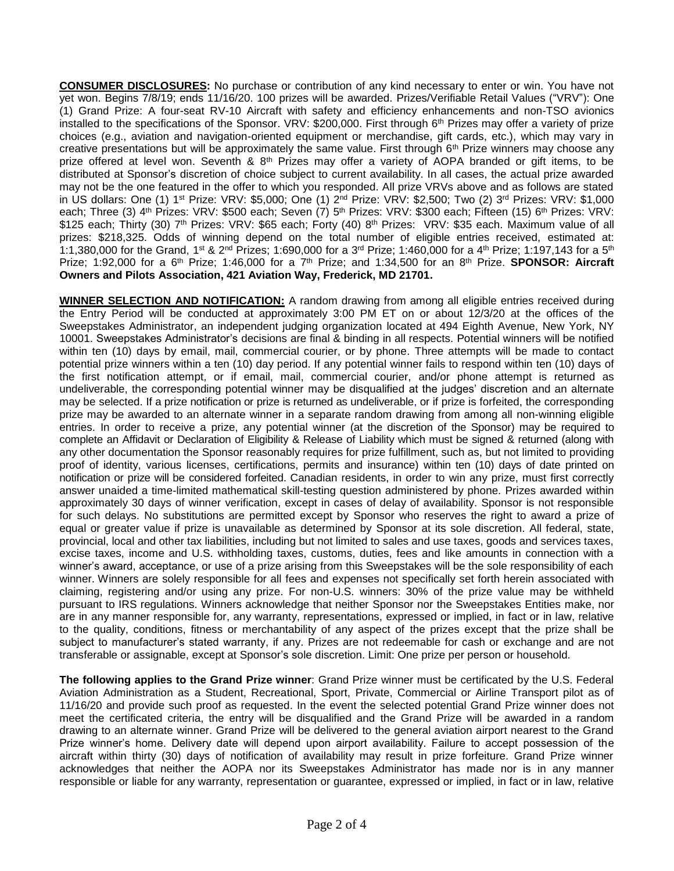**CONSUMER DISCLOSURES:** No purchase or contribution of any kind necessary to enter or win. You have not yet won. Begins 7/8/19; ends 11/16/20. 100 prizes will be awarded. Prizes/Verifiable Retail Values ("VRV"): One (1) Grand Prize: A four-seat RV-10 Aircraft with safety and efficiency enhancements and non-TSO avionics installed to the specifications of the Sponsor. VRV: \$200,000. First through 6th Prizes may offer a variety of prize choices (e.g., aviation and navigation-oriented equipment or merchandise, gift cards, etc.), which may vary in creative presentations but will be approximately the same value. First through  $6<sup>th</sup>$  Prize winners may choose any prize offered at level won. Seventh & 8<sup>th</sup> Prizes may offer a variety of AOPA branded or gift items, to be distributed at Sponsor's discretion of choice subject to current availability. In all cases, the actual prize awarded may not be the one featured in the offer to which you responded. All prize VRVs above and as follows are stated in US dollars: One (1) 1st Prize: VRV: \$5,000; One (1) 2<sup>nd</sup> Prize: VRV: \$2,500; Two (2) 3<sup>rd</sup> Prizes: VRV: \$1,000 each; Three (3) 4<sup>th</sup> Prizes: VRV: \$500 each; Seven (7) 5<sup>th</sup> Prizes: VRV: \$300 each; Fifteen (15) 6<sup>th</sup> Prizes: VRV: \$125 each; Thirty (30) 7<sup>th</sup> Prizes: VRV: \$65 each; Forty (40) 8<sup>th</sup> Prizes: VRV: \$35 each. Maximum value of all prizes: \$218,325. Odds of winning depend on the total number of eligible entries received, estimated at: 1:1,380,000 for the Grand, 1st & 2<sup>nd</sup> Prizes; 1:690,000 for a 3<sup>rd</sup> Prize; 1:460,000 for a 4<sup>th</sup> Prize; 1:197,143 for a 5<sup>th</sup> Prize; 1:92,000 for a 6th Prize; 1:46,000 for a 7th Prize; and 1:34,500 for an 8th Prize. **SPONSOR: Aircraft Owners and Pilots Association, 421 Aviation Way, Frederick, MD 21701.**

**WINNER SELECTION AND NOTIFICATION:** A random drawing from among all eligible entries received during the Entry Period will be conducted at approximately 3:00 PM ET on or about 12/3/20 at the offices of the Sweepstakes Administrator, an independent judging organization located at 494 Eighth Avenue, New York, NY 10001. Sweepstakes Administrator's decisions are final & binding in all respects. Potential winners will be notified within ten (10) days by email, mail, commercial courier, or by phone. Three attempts will be made to contact potential prize winners within a ten (10) day period. If any potential winner fails to respond within ten (10) days of the first notification attempt, or if email, mail, commercial courier, and/or phone attempt is returned as undeliverable, the corresponding potential winner may be disqualified at the judges' discretion and an alternate may be selected. If a prize notification or prize is returned as undeliverable, or if prize is forfeited, the corresponding prize may be awarded to an alternate winner in a separate random drawing from among all non-winning eligible entries. In order to receive a prize, any potential winner (at the discretion of the Sponsor) may be required to complete an Affidavit or Declaration of Eligibility & Release of Liability which must be signed & returned (along with any other documentation the Sponsor reasonably requires for prize fulfillment, such as, but not limited to providing proof of identity, various licenses, certifications, permits and insurance) within ten (10) days of date printed on notification or prize will be considered forfeited. Canadian residents, in order to win any prize, must first correctly answer unaided a time-limited mathematical skill-testing question administered by phone. Prizes awarded within approximately 30 days of winner verification, except in cases of delay of availability. Sponsor is not responsible for such delays. No substitutions are permitted except by Sponsor who reserves the right to award a prize of equal or greater value if prize is unavailable as determined by Sponsor at its sole discretion. All federal, state, provincial, local and other tax liabilities, including but not limited to sales and use taxes, goods and services taxes, excise taxes, income and U.S. withholding taxes, customs, duties, fees and like amounts in connection with a winner's award, acceptance, or use of a prize arising from this Sweepstakes will be the sole responsibility of each winner. Winners are solely responsible for all fees and expenses not specifically set forth herein associated with claiming, registering and/or using any prize. For non-U.S. winners: 30% of the prize value may be withheld pursuant to IRS regulations. Winners acknowledge that neither Sponsor nor the Sweepstakes Entities make, nor are in any manner responsible for, any warranty, representations, expressed or implied, in fact or in law, relative to the quality, conditions, fitness or merchantability of any aspect of the prizes except that the prize shall be subject to manufacturer's stated warranty, if any. Prizes are not redeemable for cash or exchange and are not transferable or assignable, except at Sponsor's sole discretion. Limit: One prize per person or household.

**The following applies to the Grand Prize winner**: Grand Prize winner must be certificated by the U.S. Federal Aviation Administration as a Student, Recreational, Sport, Private, Commercial or Airline Transport pilot as of 11/16/20 and provide such proof as requested. In the event the selected potential Grand Prize winner does not meet the certificated criteria, the entry will be disqualified and the Grand Prize will be awarded in a random drawing to an alternate winner. Grand Prize will be delivered to the general aviation airport nearest to the Grand Prize winner's home. Delivery date will depend upon airport availability. Failure to accept possession of the aircraft within thirty (30) days of notification of availability may result in prize forfeiture. Grand Prize winner acknowledges that neither the AOPA nor its Sweepstakes Administrator has made nor is in any manner responsible or liable for any warranty, representation or guarantee, expressed or implied, in fact or in law, relative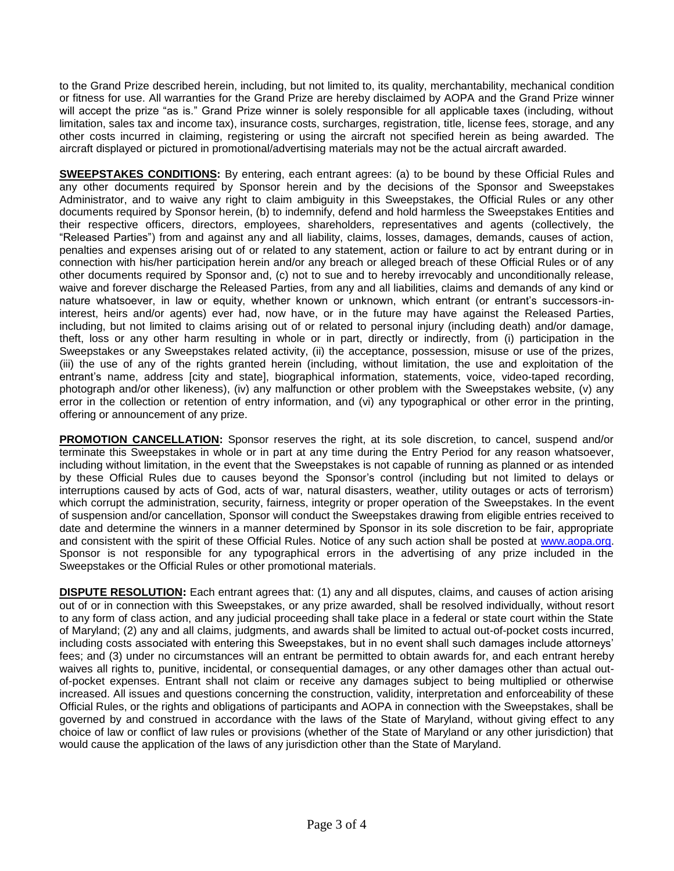to the Grand Prize described herein, including, but not limited to, its quality, merchantability, mechanical condition or fitness for use. All warranties for the Grand Prize are hereby disclaimed by AOPA and the Grand Prize winner will accept the prize "as is." Grand Prize winner is solely responsible for all applicable taxes (including, without limitation, sales tax and income tax), insurance costs, surcharges, registration, title, license fees, storage, and any other costs incurred in claiming, registering or using the aircraft not specified herein as being awarded. The aircraft displayed or pictured in promotional/advertising materials may not be the actual aircraft awarded.

**SWEEPSTAKES CONDITIONS:** By entering, each entrant agrees: (a) to be bound by these Official Rules and any other documents required by Sponsor herein and by the decisions of the Sponsor and Sweepstakes Administrator, and to waive any right to claim ambiguity in this Sweepstakes, the Official Rules or any other documents required by Sponsor herein, (b) to indemnify, defend and hold harmless the Sweepstakes Entities and their respective officers, directors, employees, shareholders, representatives and agents (collectively, the "Released Parties") from and against any and all liability, claims, losses, damages, demands, causes of action, penalties and expenses arising out of or related to any statement, action or failure to act by entrant during or in connection with his/her participation herein and/or any breach or alleged breach of these Official Rules or of any other documents required by Sponsor and, (c) not to sue and to hereby irrevocably and unconditionally release, waive and forever discharge the Released Parties, from any and all liabilities, claims and demands of any kind or nature whatsoever, in law or equity, whether known or unknown, which entrant (or entrant's successors-ininterest, heirs and/or agents) ever had, now have, or in the future may have against the Released Parties, including, but not limited to claims arising out of or related to personal injury (including death) and/or damage, theft, loss or any other harm resulting in whole or in part, directly or indirectly, from (i) participation in the Sweepstakes or any Sweepstakes related activity, (ii) the acceptance, possession, misuse or use of the prizes, (iii) the use of any of the rights granted herein (including, without limitation, the use and exploitation of the entrant's name, address [city and state], biographical information, statements, voice, video-taped recording, photograph and/or other likeness), (iv) any malfunction or other problem with the Sweepstakes website, (v) any error in the collection or retention of entry information, and (vi) any typographical or other error in the printing, offering or announcement of any prize.

**PROMOTION CANCELLATION:** Sponsor reserves the right, at its sole discretion, to cancel, suspend and/or terminate this Sweepstakes in whole or in part at any time during the Entry Period for any reason whatsoever, including without limitation, in the event that the Sweepstakes is not capable of running as planned or as intended by these Official Rules due to causes beyond the Sponsor's control (including but not limited to delays or interruptions caused by acts of God, acts of war, natural disasters, weather, utility outages or acts of terrorism) which corrupt the administration, security, fairness, integrity or proper operation of the Sweepstakes. In the event of suspension and/or cancellation, Sponsor will conduct the Sweepstakes drawing from eligible entries received to date and determine the winners in a manner determined by Sponsor in its sole discretion to be fair, appropriate and consistent with the spirit of these Official Rules. Notice of any such action shall be posted at [www.aopa.org.](http://www.aopa.org/) Sponsor is not responsible for any typographical errors in the advertising of any prize included in the Sweepstakes or the Official Rules or other promotional materials.

**DISPUTE RESOLUTION:** Each entrant agrees that: (1) any and all disputes, claims, and causes of action arising out of or in connection with this Sweepstakes, or any prize awarded, shall be resolved individually, without resort to any form of class action, and any judicial proceeding shall take place in a federal or state court within the State of Maryland; (2) any and all claims, judgments, and awards shall be limited to actual out-of-pocket costs incurred, including costs associated with entering this Sweepstakes, but in no event shall such damages include attorneys' fees; and (3) under no circumstances will an entrant be permitted to obtain awards for, and each entrant hereby waives all rights to, punitive, incidental, or consequential damages, or any other damages other than actual outof-pocket expenses. Entrant shall not claim or receive any damages subject to being multiplied or otherwise increased. All issues and questions concerning the construction, validity, interpretation and enforceability of these Official Rules, or the rights and obligations of participants and AOPA in connection with the Sweepstakes, shall be governed by and construed in accordance with the laws of the State of Maryland, without giving effect to any choice of law or conflict of law rules or provisions (whether of the State of Maryland or any other jurisdiction) that would cause the application of the laws of any jurisdiction other than the State of Maryland.